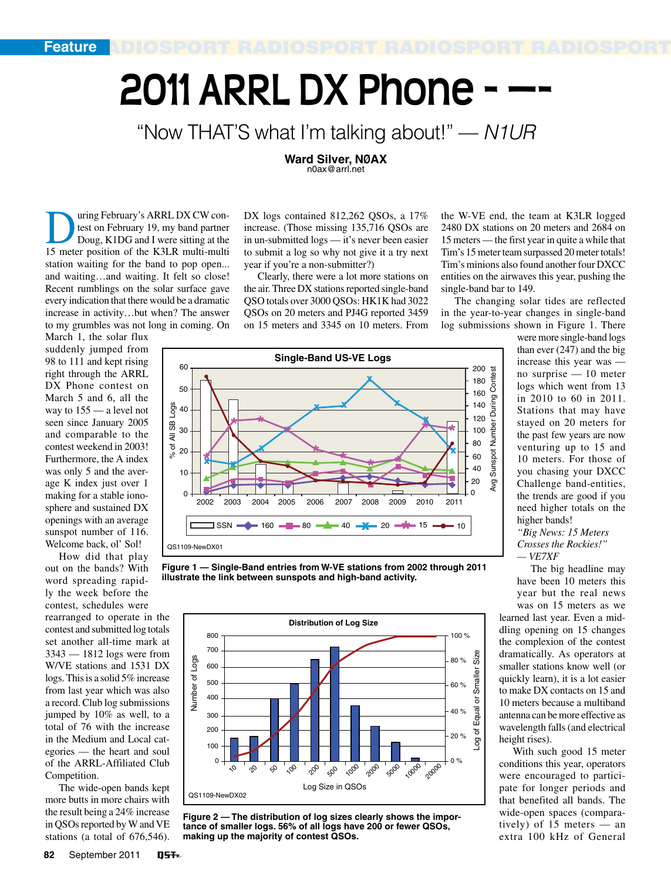# **2011 ARRL DX Phone -**

# "Now THAT'S what I'm talking about!" — *N1UR*

**Ward Silver, NØAX** n0ax@arrl.net

uring February's ARRL DX CW contest on February 19, my band partner Doug, K1DG and I were sitting at the 15 meter position of the K3LR multi-multi station waiting for the band to pop open... and waiting…and waiting. It felt so close! Recent rumblings on the solar surface gave every indication that there would be a dramatic increase in activity…but when? The answer to my grumbles was not long in coming. On

March 1, the solar flux suddenly jumped from 98 to 111 and kept rising right through the ARRL DX Phone contest on March 5 and 6, all the way to 155 — a level not seen since January 2005 and comparable to the contest weekend in 2003! Furthermore, the A index was only 5 and the average K index just over 1 making for a stable ionosphere and sustained DX openings with an average sunspot number of 116. Welcome back, ol' Sol!

How did that play out on the bands? With word spreading rapidly the week before the contest, schedules were

rearranged to operate in the contest and submitted log totals set another all-time mark at 3343 — 1812 logs were from W/VE stations and 1531 DX logs. This is a solid 5% increase from last year which was also a record. Club log submissions jumped by 10% as well, to a total of 76 with the increase in the Medium and Local categories — the heart and soul of the ARRL-Affiliated Club Competition.

The wide-open bands kept more butts in more chairs with the result being a 24% increase in QSOs reported by W and VE stations (a total of 676,546).

DX logs contained 812,262 QSOs, a 17% increase. (Those missing 135,716 QSOs are in un-submitted logs — it's never been easier to submit a log so why not give it a try next year if you're a non-submitter?)

Clearly, there were a lot more stations on the air. Three DX stations reported single-band QSO totals over 3000 QSOs: HK1K had 3022 QSOs on 20 meters and PJ4G reported 3459 on 15 meters and 3345 on 10 meters. From

the W-VE end, the team at K3LR logged 2480 DX stations on 20 meters and 2684 on 15 meters — the first year in quite a while that Tim's 15 meter team surpassed 20 meter totals! Tim's minions also found another four DXCC entities on the airwaves this year, pushing the single-band bar to 149.

The changing solar tides are reflected in the year-to-year changes in single-band log submissions shown in Figure 1. There



**Figure 1 — Single-Band entries from W-VE stations from 2002 through 2011 illustrate the link between sunspots and high-band activity.**



**Figure 2 — The distribution of log sizes clearly shows the importance of smaller logs. 56% of all logs have 200 or fewer QSOs, making up the majority of contest QSOs.**

were more single-band logs than ever (247) and the big increase this year was no surprise — 10 meter logs which went from 13 in 2010 to 60 in 2011. Stations that may have stayed on 20 meters for the past few years are now venturing up to 15 and 10 meters. For those of you chasing your DXCC Challenge band-entities, the trends are good if you need higher totals on the higher bands!

*"Big News: 15 Meters Crosses the Rockies!" — VE7XF*

The big headline may have been 10 meters this year but the real news was on 15 meters as we

learned last year. Even a middling opening on 15 changes the complexion of the contest dramatically. As operators at smaller stations know well (or quickly learn), it is a lot easier to make DX contacts on 15 and 10 meters because a multiband antenna can be more effective as wavelength falls (and electrical height rises).

With such good 15 meter conditions this year, operators were encouraged to participate for longer periods and that benefited all bands. The wide-open spaces (comparatively) of 15 meters — an extra 100 kHz of General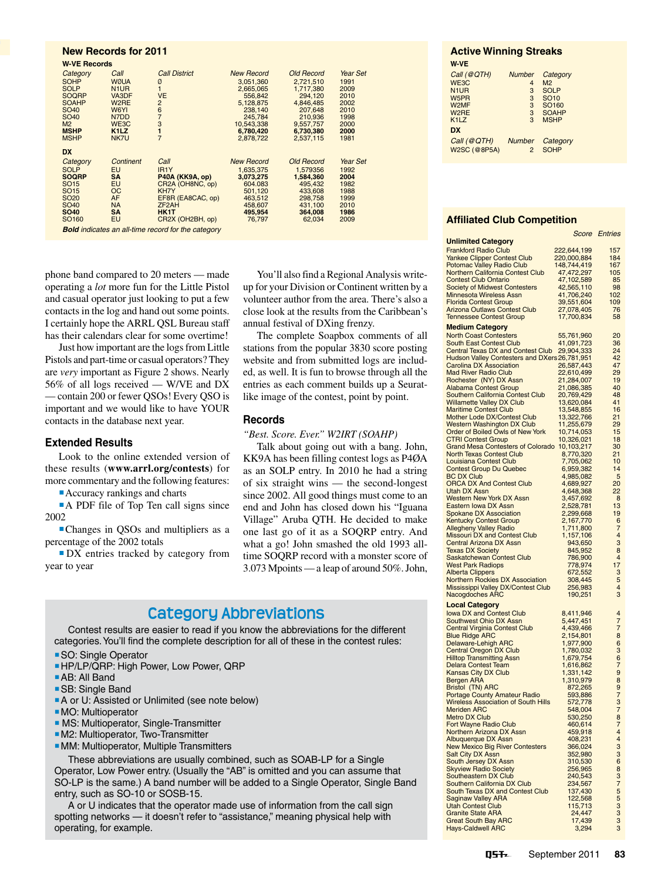# RADIOSPORT RADIOSPORT RADIOSPORT RADIOSPORT **New Records for <sup>2011</sup> W-VE Records**

| Category                                                  | Call                          | <b>Call District</b> | <b>New Record</b> | <b>Old Record</b> | Year Set |  |  |  |
|-----------------------------------------------------------|-------------------------------|----------------------|-------------------|-------------------|----------|--|--|--|
| <b>SOHP</b>                                               | <b>WØUA</b>                   | Ø                    | 3.051.360         | 2.721.510         | 1991     |  |  |  |
| <b>SOLP</b>                                               | N <sub>1</sub> UR             | $\mathbf{1}$         | 2,665,065         | 1,717,380         | 2009     |  |  |  |
| <b>SOQRP</b>                                              | VA3DF                         | <b>VE</b>            | 556.842           | 294.120           | 2010     |  |  |  |
| <b>SOAHP</b>                                              | W <sub>2</sub> RE             | $\overline{2}$       | 5,128,875         | 4,846,485         | 2002     |  |  |  |
| SO <sub>40</sub>                                          | W6YI                          | $\frac{6}{7}$        | 238.140           | 207.648           | 2010     |  |  |  |
| SO <sub>40</sub>                                          | N7DD                          |                      | 245,784           | 210,936           | 1998     |  |  |  |
| M <sub>2</sub>                                            | WE3C                          | 3                    | 10.543.338        | 9,557,757         | 2000     |  |  |  |
| <b>MSHP</b>                                               | K <sub>1</sub> L <sub>Z</sub> | $\blacksquare$       | 6.780.420         | 6,730,380         | 2000     |  |  |  |
| <b>MSHP</b>                                               | NK7U                          | $\overline{7}$       | 2,878,722         | 2,537,115         | 1981     |  |  |  |
| <b>DX</b>                                                 |                               |                      |                   |                   |          |  |  |  |
| Category                                                  | Continent                     | Call                 | <b>New Record</b> | <b>Old Record</b> | Year Set |  |  |  |
| <b>SOLP</b>                                               | <b>EU</b>                     | IR <sub>1</sub> Y    | 1,635,375         | 1.579356          | 1992     |  |  |  |
| <b>SOQRP</b>                                              | <b>SA</b>                     | P40A (KK9A, op)      | 3,073,275         | 1.584.360         | 2004     |  |  |  |
| SO <sub>15</sub>                                          | <b>EU</b>                     | CR2A (OH8NC, op)     | 604.083           | 495.432           | 1982     |  |  |  |
| SO <sub>15</sub>                                          | <b>OC</b>                     | KH7Y                 | 501,120           | 433.608           | 1988     |  |  |  |
| SO <sub>20</sub>                                          | AF                            | EF8R (EA8CAC, op)    | 463,512           | 298,758           | 1999     |  |  |  |
| SO <sub>40</sub>                                          | <b>NA</b>                     | ZF <sub>2</sub> AH   | 458,607           | 431.100           | 2010     |  |  |  |
| <b>SO40</b>                                               | <b>SA</b>                     | HK1T                 | 495,954           | 364,008           | 1986     |  |  |  |
| SO <sub>160</sub>                                         | <b>EU</b>                     | CR2X (OH2BH, op)     | 76.797            | 62,034            | 2009     |  |  |  |
| <b>Bold</b> indicates an all-time record for the category |                               |                      |                   |                   |          |  |  |  |

phone band compared to 20 meters — made operating a *lot* more fun for the Little Pistol and casual operator just looking to put a few contacts in the log and hand out some points. I certainly hope the ARRL QSL Bureau staff has their calendars clear for some overtime!

Just how important are the logs from Little Pistols and part-time or casual operators? They are *very* important as Figure 2 shows. Nearly 56% of all logs received — W/VE and DX — contain 200 or fewer QSOs! Every QSO is important and we would like to have YOUR contacts in the database next year.

#### **Extended Results**

Look to the online extended version of these results (**www.arrl.org/contests**) for more commentary and the following features:

 Accuracy rankings and charts

A PDF file of Top Ten call signs since 2002

 Changes in QSOs and multipliers as a percentage of the 2002 totals

 DX entries tracked by category from year to year

You'll also find a Regional Analysis writeup for your Division or Continent written by a volunteer author from the area. There's also a close look at the results from the Caribbean's annual festival of DXing frenzy.

The complete Soapbox comments of all stations from the popular 3830 score posting website and from submitted logs are included, as well. It is fun to browse through all the entries as each comment builds up a Seuratlike image of the contest, point by point.

#### **Records**

*"Best. Score. Ever." W2IRT (SOAHP)*

Talk about going out with a bang. John, KK9A has been filling contest logs as P4ØA as an SOLP entry. In 2010 he had a string of six straight wins — the second-longest since 2002. All good things must come to an end and John has closed down his "Iguana Village" Aruba QTH. He decided to make one last go of it as a SOQRP entry. And what a go! John smashed the old 1993 alltime SOQRP record with a monster score of 3.073 Mpoints—a leap of around 50%.John,

# **Category Abbreviations**

Contest results are easier to read if you know the abbreviations for the different categories.You'll find the complete description for all of these in the contest rules:

- SO: Single Operator
- HP/LP/QRP: High Power, Low Power, QRP
- AB: All Band
- SB: Single Band
- **A** or U: Assisted or Unlimited (see note below)
- **MO: Multioperator**
- **MS: Multioperator, Single-Transmitter**
- **M2: Multioperator, Two-Transmitter**
- **MM: Multioperator, Multiple Transmitters**

These abbreviations are usually combined, such as SOAB-LP for a Single Operator, Low Power entry. (Usually the "AB" is omitted and you can assume that SO-LP is the same.) A band number will be added to a Single Operator, Single Band entry, such as SO-10 or SOSB-15.

A or U indicates that the operator made use of information from the call sign spotting networks — it doesn't refer to "assistance," meaning physical help with operating, for example.

# **Active Winning Streaks**

| W VE                          |                |                   |
|-------------------------------|----------------|-------------------|
| Call (@QTH)                   | <b>Number</b>  | Category          |
| WE3C                          | 4              | M <sub>2</sub>    |
| N <sub>1</sub> UR             | 3              | <b>SOLP</b>       |
| W <sub>5</sub> PR             | 3              | <b>SO10</b>       |
| W <sub>2</sub> MF             | 3              | SO <sub>160</sub> |
| W <sub>2</sub> RE             | 3              | <b>SOAHP</b>      |
| K <sub>1</sub> L <sub>Z</sub> | 3              | <b>MSHP</b>       |
| <b>DX</b>                     |                |                   |
| Call (@QTH)                   | <b>Number</b>  | Category          |
| W2SC (@8P5A)                  | $\overline{2}$ | <b>SOHP</b>       |
|                               |                |                   |

#### **Affiliated Club Competition**

|                                                                              | Score                      | <b><i><u>Entries</u></i></b> |
|------------------------------------------------------------------------------|----------------------------|------------------------------|
| <b>Unlimited Category</b>                                                    |                            |                              |
| <b>Frankford Radio Club</b>                                                  | 222,644,199                | 157<br>184                   |
| <b>Yankee Clipper Contest Club</b><br>Potomac Valley Radio Club              | 220,000,884<br>148,744,419 | 167                          |
| Northern California Contest Club                                             | 47,472,297                 | 105                          |
| <b>Contest Club Ontario</b>                                                  | 47,102,589                 | 85                           |
| <b>Society of Midwest Contesters</b>                                         | 42,565,110                 | 98                           |
| <b>Minnesota Wireless Assn</b>                                               | 41,706,240                 | 102                          |
| <b>Florida Contest Group</b><br><b>Arizona Outlaws Contest Club</b>          | 39,551,604<br>27,078,405   | 109<br>76                    |
| <b>Tennessee Contest Group</b>                                               | 17,700,834                 | 58                           |
| <b>Medium Category</b>                                                       |                            |                              |
| <b>North Coast Contesters</b>                                                | 55,761,960                 | 20                           |
| <b>South East Contest Club</b>                                               | 41,091,723                 | 36                           |
| Central Texas DX and Contest Club                                            | 29,904,333                 | 24                           |
| Hudson Valley Contesters and DXers 26,781,951                                |                            | 42                           |
| <b>Carolina DX Association</b>                                               | 26,587,443                 | 47                           |
| <b>Mad River Radio Club</b><br>Rochester (NY) DX Assn                        | 22,610,499<br>21,284,007   | 29<br>19                     |
| <b>Alabama Contest Group</b>                                                 | 21,086,385                 | 40                           |
| Southern California Contest Club                                             | 20,769,429                 | 48                           |
| <b>Willamette Valley DX Club</b>                                             | 13,620,084                 | 41                           |
| <b>Maritime Contest Club</b>                                                 | 13,548,855                 | 16                           |
| Mother Lode DX/Contest Club                                                  | 13,322,766                 | 21                           |
| <b>Western Washington DX Club</b><br>Order of Boiled Owls of New York        | 11,255,679                 | 29<br>15                     |
| <b>CTRI Contest Group</b>                                                    | 10,714,053<br>10,326,021   | 18                           |
| Grand Mesa Contesters of Colorado 10,103,217                                 |                            | 30                           |
| <b>North Texas Contest Club</b>                                              | 8,770,320                  | 21                           |
| Louisiana Contest Club                                                       | 7,705,062                  | 10                           |
| <b>Contest Group Du Quebec</b>                                               | 6,959,382                  | 14                           |
| <b>BC DX Club</b><br><b>ORCA DX And Contest Club</b>                         | 4,985,082                  | 5<br>20                      |
| <b>Utah DX Assn</b>                                                          | 4,689,927<br>4,648,368     | 22                           |
| <b>Western New York DX Assn</b>                                              | 3,457,692                  | 8                            |
| Eastern Iowa DX Assn                                                         | 2,528,781                  | 13                           |
| <b>Spokane DX Association</b>                                                | 2,299,668                  | 19                           |
| <b>Kentucky Contest Group</b>                                                | 2,167,770                  | 6                            |
| <b>Allegheny Valley Radio</b><br>Missouri DX and Contest Club                | 1,711,800                  | 7<br>4                       |
| <b>Central Arizona DX Assn</b>                                               | 1,157,106<br>943,650       | 3                            |
| <b>Texas DX Society</b>                                                      | 845,952                    | 8                            |
| Saskatchewan Contest Club                                                    | 786,900                    | 4                            |
| <b>West Park Radiops</b>                                                     | 778,974                    | 17                           |
| <b>Alberta Clippers</b>                                                      | 672,552                    | 3                            |
| <b>Northern Rockies DX Association</b><br>Mississippi Valley DX/Contest Club | 308,445<br>256,983         | 5<br>4                       |
| Nacogdoches ARC                                                              | 190,251                    | 3                            |
| <b>Local Category</b>                                                        |                            |                              |
| <b>Iowa DX and Contest Club</b>                                              | 8,411,946                  | 4                            |
| Southwest Ohio DX Assn                                                       | 5,447,451                  | 7                            |
| <b>Central Virginia Contest Club</b>                                         | 4,439,466                  | 7                            |
| <b>Blue Ridge ARC</b>                                                        | 2,154,801                  | 8                            |
| Delaware-Lehigh ARC                                                          | 1,977,900                  | 6                            |
| <b>Central Oregon DX Club</b><br><b>Hilltop Transmitting Assn</b>            | 1,780,032<br>1,679,754     | 3<br>6                       |
| Delara Contest Team                                                          | 1,616,862                  | 7                            |
| <b>Kansas City DX Club</b>                                                   | 1,331,142                  | 9                            |
| <b>Bergen ARA</b>                                                            | 1,310,979                  | 8                            |
| Bristol (TN) ARC                                                             | 872,265                    | 9                            |
| <b>Portage County Amateur Radio</b>                                          | 593,886                    | 7                            |
| <b>Wireless Association of South Hills</b><br><b>Meriden ARC</b>             | 572,778<br>548,004         | 3<br>7                       |
| Metro DX Club                                                                | 530,250                    | 8                            |
| Fort Wayne Radio Club                                                        | 460,614                    | 7                            |
| Northern Arizona DX Assn                                                     | 459,918                    | 4                            |
| Albuquerque DX Assn                                                          | 408,231                    | 4                            |
| New Mexico Big River Contesters<br><b>Salt City DX Assn</b>                  | 366,024<br>352,980         | 3<br>3                       |
| South Jersey DX Assn                                                         | 310,530                    | 6                            |
| <b>Skyview Radio Society</b>                                                 | 256,965                    | 8                            |
| Southeastern DX Club                                                         | 240,543                    | 3                            |
| Southern California DX Club                                                  | 234,567                    | 7                            |
| South Texas DX and Contest Club                                              | 137,430                    | 5                            |
| <b>Saginaw Valley ARA</b><br><b>Utah Contest Club</b>                        | 122,568<br>115,713         | 5<br>3                       |
| <b>Granite State ARA</b>                                                     | 24,447                     | 3                            |
| <b>Great South Bay ARC</b>                                                   | 17,439                     | 3                            |
| <b>Hays-Caldwell ARC</b>                                                     | 3,294                      | 3                            |
|                                                                              |                            |                              |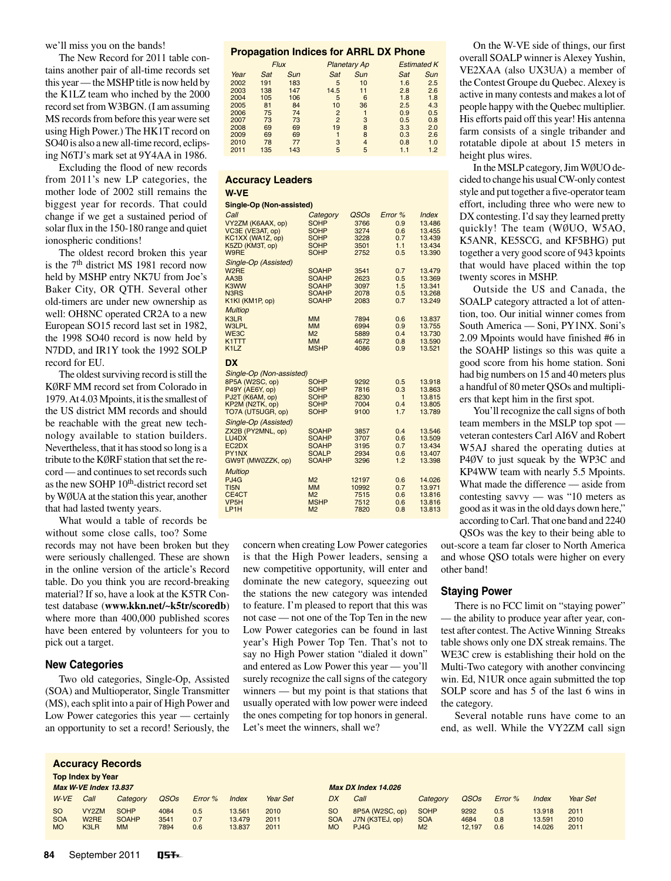we'll miss you on the bands!

The New Record for 2011 table contains another pair of all-time records set this year—the MSHP title is now held by the K1LZ team who inched by the 2000 record set from W3BGN. (I am assuming MS records from before this year were set using High Power.) The HK1T record on SO40 is also a new all-time record, eclipsing N6TJ's mark set at 9Y4AA in 1986.

Excluding the flood of new records from 2011's new LP categories, the mother lode of 2002 still remains the biggest year for records. That could change if we get a sustained period of solar flux in the 150-180 range and quiet ionospheric conditions!

The oldest record broken this year is the 7th district MS 1981 record now held by MSHP entry NK7U from Joe's Baker City, OR QTH. Several other old-timers are under new ownership as well: OH8NC operated CR2A to a new European SO15 record last set in 1982, the 1998 SO40 record is now held by N7DD, and IR1Y took the 1992 SOLP record for EU.

The oldest surviving record is still the KØRF MM record set from Colorado in 1979. At 4.03 Mpoints, it is the smallest of the US district MM records and should be reachable with the great new technology available to station builders. Nevertheless, that it has stood so long is a tribute to the KØRF station that set the record — and continues to set records such as the new SOHP 10<sup>th</sup>-district record set by WØUA at the station this year, another that had lasted twenty years.

What would a table of records be without some close calls, too? Some

records may not have been broken but they were seriously challenged. These are shown in the online version of the article's Record table. Do you think you are record-breaking material? If so, have a look at the K5TR Contest database (**www.kkn.net/~k5tr/scoredb**) where more than 400,000 published scores have been entered by volunteers for you to pick out a target.

#### **New Categories**

Two old categories, Single-Op, Assisted (SOA) and Multioperator, Single Transmitter (MS), each split into a pair of High Power and Low Power categories this year — certainly an opportunity to set a record! Seriously, the

#### **Propagation Indices for ARRL DX Phone**

| $     -$ |             |            |                |                     |     |                    |  |  |  |
|----------|-------------|------------|----------------|---------------------|-----|--------------------|--|--|--|
|          | <b>Flux</b> |            |                | <b>Planetary Ap</b> |     | <b>Estimated K</b> |  |  |  |
| Year     | Sat         | <b>Sun</b> | Sat            | <b>Sun</b>          | Sat | <b>Sun</b>         |  |  |  |
| 2002     | 191         | 183        | 5              | 10                  | 1.6 | 2.5                |  |  |  |
| 2003     | 138         | 147        | 14.5           | 11                  | 2.8 | 2.6                |  |  |  |
| 2004     | 105         | 106        | 5              | 6                   | 1.8 | 1.8                |  |  |  |
| 2005     | 81          | 84         | 10             | 36                  | 2.5 | 4.3                |  |  |  |
| 2006     | 75          | 74         | $\overline{2}$ |                     | 0.9 | 0.5                |  |  |  |
| 2007     | 73          | 73         | $\overline{2}$ | 3                   | 0.5 | 0.8                |  |  |  |
| 2008     | 69          | 69         | 19             | 8                   | 3.3 | 2.0                |  |  |  |
| 2009     | 69          | 69         |                | 8                   | 0.3 | 2.6                |  |  |  |
| 2010     | 78          | 77         | 3              | 4                   | 0.8 | 1.0                |  |  |  |
| 2011     | 135         | 143        | 5              | 5                   | 1.1 | 1.2                |  |  |  |

#### **Accuracy Leaders W-VE**

#### **Single-Op (Non-assisted)**

| Julyic Up (Null assisteu)  |                             |               |            |                     |
|----------------------------|-----------------------------|---------------|------------|---------------------|
| Call                       | Category                    | QSOs          | Error %    | <i><b>Index</b></i> |
| VY2ZM (K6AAX, op)          | <b>SOHP</b>                 | 3766          | 0.9        | 13.486              |
| VC3E (VE3AT, op)           | <b>SOHP</b>                 | 3274          | 0.6        | 13.455              |
| KC1XX (WA1Z, op)           | <b>SOHP</b>                 | 3228          | 0.7        | 13.439              |
| K5ZD (KM3T, op)            | <b>SOHP</b>                 | 3501          | 1.1        | 13.434              |
| W9RE                       | <b>SOHP</b>                 | 2752          | 0.5        | 13.390              |
| Single-Op (Assisted)       |                             |               |            |                     |
| W <sub>2</sub> RE          | <b>SOAHP</b>                | 3541          | 0.7        | 13.479              |
| AA3B                       | <b>SOAHP</b>                | 2623          | 0.5        | 13.369              |
| K3WW                       | <b>SOAHP</b>                | 3097          | 1.5        | 13.341              |
| N3RS                       | <b>SOAHP</b>                | 2078          | 0.5        | 13.268              |
| K1KI (KM1P, op)            | <b>SOAHP</b>                | 2083          | 0.7        | 13.249              |
| <b>Multiop</b>             |                             |               |            |                     |
| K3LR                       | <b>MM</b>                   | 7894          | 0.6        | 13.837              |
| <b>W3LPL</b>               | <b>MM</b>                   | 6994          | 0.9        | 13.755              |
| WE3C                       | M <sub>2</sub>              | 5889          | 0.4        | 13.730              |
| K1TTT                      | <b>MM</b>                   | 4672          | 0.8        | 13.590              |
| K <sub>1</sub> LZ          | <b>MSHP</b>                 | 4086          | 0.9        | 13.521              |
| <b>DX</b>                  |                             |               |            |                     |
| Single-Op (Non-assisted)   |                             |               |            |                     |
| 8P5A (W2SC, op)            | <b>SOHP</b>                 | 9292          | 0.5        | 13.918              |
| P49Y (AE6Y, op)            | <b>SOHP</b>                 | 7816          | 0.3        | 13.863              |
| PJ2T (K6AM, op)            | <b>SOHP</b>                 | 8230          | 1          | 13.815              |
| KP2M (N2TK, op)            | <b>SOHP</b>                 | 7004          | 0.4        | 13.805              |
| TO7A (UT5UGR, op)          | <b>SOHP</b>                 | 9100          | 1.7        | 13.789              |
| Single-Op (Assisted)       |                             |               |            |                     |
|                            | <b>SOAHP</b>                |               |            |                     |
| ZX2B (PY2MNL, op)<br>LU4DX | <b>SOAHP</b>                | 3857<br>3707  | 0.4<br>0.6 | 13.546<br>13.509    |
| EC <sub>2</sub> DX         | <b>SOAHP</b>                | 3195          | 0.7        | 13.434              |
| PY1NX                      | <b>SOALP</b>                | 2934          | 0.6        | 13.407              |
| GW9T (MW0ZZK, op)          | <b>SOAHP</b>                | 3296          | 1.2        | 13.398              |
|                            |                             |               |            |                     |
| <b>Multiop</b>             |                             |               |            |                     |
| PJ4G<br>TI <sub>5N</sub>   | M <sub>2</sub><br><b>MM</b> | 12197         | 0.6        | 14.026              |
| CE4CT                      | M <sub>2</sub>              | 10992<br>7515 | 0.7<br>0.6 | 13.971<br>13.816    |
| VP <sub>5</sub> H          | <b>MSHP</b>                 | 7512          | 0.6        | 13.816              |
| LP <sub>1</sub> H          | M <sub>2</sub>              | 7820          | 0.8        | 13.813              |
|                            |                             |               |            |                     |

concern when creating Low Power categories is that the High Power leaders, sensing a new competitive opportunity, will enter and dominate the new category, squeezing out the stations the new category was intended to feature. I'm pleased to report that this was not case — not one of the Top Ten in the new Low Power categories can be found in last year's High Power Top Ten. That's not to say no High Power station "dialed it down" and entered as Low Power this year — you'll surely recognize the call signs of the category winners — but my point is that stations that usually operated with low power were indeed the ones competing for top honors in general. Let's meet the winners, shall we?

On the W-VE side of things, our first overall SOALP winner is Alexey Yushin, VE2XAA (also UX3UA) a member of the Contest Groupe du Quebec. Alexey is active in many contests and makes a lot of people happy with the Quebec multiplier. His efforts paid off this year! His antenna farm consists of a single tribander and rotatable dipole at about 15 meters in height plus wires.

In the MSLP category,Jim WØUO decided to change his usualCW-only contest style and put together a five-operator team effort, including three who were new to DX contesting. I'd say they learned pretty quickly! The team (WØUO, W5AO, K5ANR, KE5SCG, and KF5BHG) put together a very good score of 943 kpoints that would have placed within the top twenty scores in MSHP.

Outside the US and Canada, the SOALP category attracted a lot of attention, too. Our initial winner comes from South America — Soni, PY1NX. Soni's 2.09 Mpoints would have finished #6 in the SOAHP listings so this was quite a good score from his home station. Soni had big numbers on 15 and 40 meters plus a handful of 80 meter QSOs and multipliers that kept him in the first spot.

You'll recognize the call signs of both team members in the MSLP top spot veteran contesters Carl AI6V and Robert W5AJ shared the operating duties at P4ØV to just squeak by the WP3C and KP4WW team with nearly 5.5 Mpoints. What made the difference — aside from contesting savvy — was "10 meters as good as it was in the old days down here," according toCarl.That one band and 2240 QSOs was the key to their being able to

out-score a team far closer to North America and whose QSO totals were higher on every other band!

### **Staying Power**

There is no FCC limit on "staying power" — the ability to produce year after year, contest after contest. The Active Winning Streaks table shows only one DX streak remains. The WE3C crew is establishing their hold on the Multi-Two category with another convincing win. Ed, N1UR once again submitted the top SOLP score and has 5 of the last 6 wins in the category.

Several notable runs have come to an end, as well. While the VY2ZM call sign

| <b>Accuracy Records</b>      |                                         |                             |                  |            |                  |                 |                             |                                    |                           |                  |            |                  |              |
|------------------------------|-----------------------------------------|-----------------------------|------------------|------------|------------------|-----------------|-----------------------------|------------------------------------|---------------------------|------------------|------------|------------------|--------------|
| <b>Top Index by Year</b>     |                                         |                             |                  |            |                  |                 |                             |                                    |                           |                  |            |                  |              |
| <b>Max W-VE Index 13.837</b> |                                         |                             |                  |            |                  |                 | <b>Max DX Index 14.026</b>  |                                    |                           |                  |            |                  |              |
| $W-VE$                       | Call                                    | Category                    | QSO <sub>s</sub> | Error %    | Index            | <b>Year Set</b> | DX                          | Call                               | Category                  | QSO <sub>s</sub> | Error %    | Index            | Year Set     |
| <sub>SO</sub><br><b>SOA</b>  | VY <sub>2</sub> ZM<br>W <sub>2</sub> RE | <b>SOHP</b><br><b>SOAHP</b> | 4084<br>3541     | 0.5<br>0.7 | 13.561<br>13.479 | 2010<br>2011    | <sub>SO</sub><br><b>SOA</b> | 8P5A (W2SC, op)<br>J7N (K3TEJ, op) | <b>SOHP</b><br><b>SOA</b> | 9292<br>4684     | 0.5<br>0.8 | 13.918<br>13.591 | 2011<br>2010 |
| <b>MO</b>                    | K3LR                                    | <b>MM</b>                   | 7894             | 0.6        | 13.837           | 2011            | <b>MO</b>                   | PJ4G                               | M <sub>2</sub>            | 12.197           | 0.6        | 14.026           | 2011         |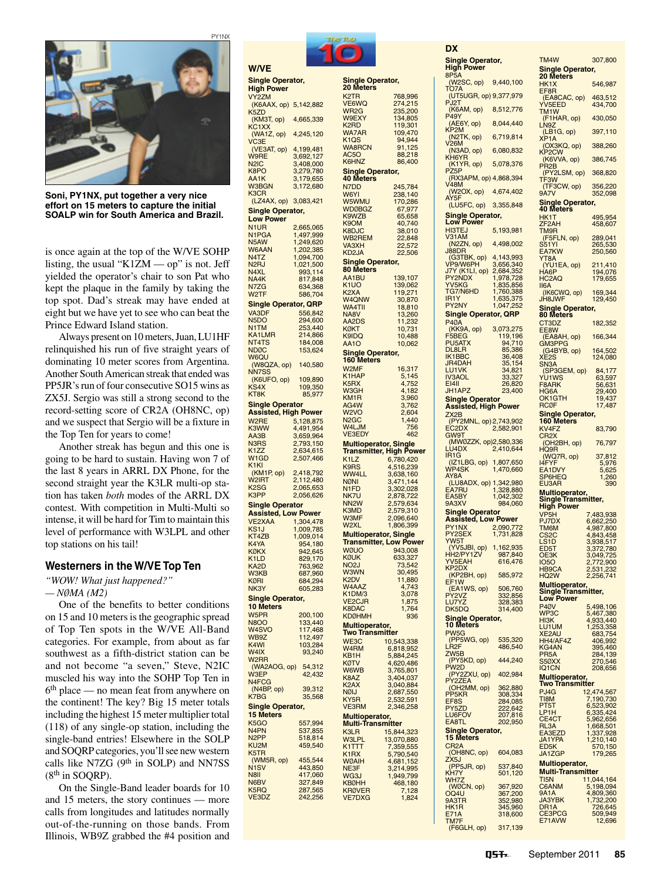

**Soni, PY1NX, put together a very nice effort on 15 meters to capture the initial SOALP win for South America and Brazil.**

is once again at the top of the W/VE SOHP listing, the usual "K1ZM — op" is not. Jeff yielded the operator's chair to son Pat who kept the plaque in the family by taking the top spot. Dad's streak may have ended at eight but we have yet to see who can beat the Prince Edward Island station.

Always present on 10meters,Juan, LU1HF relinquished his run of five straight years of dominating 10 meter scores from Argentina. Another South American streak that ended was PP5JR's run of four consecutive SO15 wins as ZX5J. Sergio was still a strong second to the record-setting score of CR2A (OH8NC, op) and we suspect that Sergio will be a fixture in the Top Ten for years to come!

Another streak has begun and this one is going to be hard to sustain. Having won 7 of the last 8 years in ARRL DX Phone, for the second straight year the K3LR multi-op station has taken *both* modes of the ARRL DX contest. With competition in Multi-Multi so intense, it will be hard for Tim to maintain this level of performance with W3LPL and other top stations on his tail!

## **Westerners in the W/VE Top Ten**

*"WOW! What just happened?"* 

*— NØMA (M2)*

One of the benefits to better conditions on 15 and 10 meters is the geographic spread of Top Ten spots in the W/VE All-Band categories. For example, from about as far southwest as a fifth-district station can be and not become "a seven," Steve, N2IC muscled his way into the SOHP Top Ten in 6th place — no mean feat from anywhere on the continent! The key? Big 15 meter totals including the highest 15 meter multiplier total (118) of any single-op station, including the single-band entries! Elsewhere in the SOLP and SOQRP categories, you'll see new western calls like N7ZG  $(9<sup>th</sup>$  in SOLP) and NN7SS  $(8<sup>th</sup>$  in SOORP).

On the Single-Band leader boards for 10 and 15 meters, the story continues — more calls from longitudes and latitudes normally out-of-the-running on those bands. From Illinois, WB9Z grabbed the #4 position and



| <b>W/VE</b>                                      |                               |                                                |
|--------------------------------------------------|-------------------------------|------------------------------------------------|
| <b>Single Operator,</b>                          |                               | <b>Single Ope</b><br>20 Meters                 |
| <b>High Power</b><br>VY2ZM                       |                               | K <sub>2</sub> TR                              |
| (K6AAX, op)<br>K <sub>5</sub> ZD                 | 5,142,882                     | VE6WQ<br>WR2G                                  |
| (KM3T, op)                                       | 4,665,339                     | W9EXY                                          |
| KC1XX<br>(WA1Z, op)                              | 4,245,120                     | K <sub>2</sub> RD<br><b>WA7AR</b>              |
| VC3E                                             |                               | K <sub>1</sub> Q <sub>S</sub><br><b>WA8RCN</b> |
| (VE3AT, op)<br>W9RE                              | 4,199,481<br>3,692,127        | AC5O                                           |
| N <sub>2</sub> I <sub>C</sub>                    | 3,408,000                     | K6HNZ                                          |
| K8PO<br>AA1K                                     | 3,279,780<br>3,179,655        | Single Ope<br><b>40 Meters</b>                 |
| <b>W3BGN</b><br>K <sub>3</sub> CR                | 3,172,680                     | N7DD<br>W6YI                                   |
| (LZ4AX, op)                                      | 3,083,421                     | W5WMU                                          |
| Single Operator,<br><b>Low Power</b>             |                               | WD0BGZ<br>K9WZB                                |
| N <sub>1</sub> UR                                | 2,665,065                     | K <sub>9</sub> OM<br>K8DJC                     |
| N1PGA<br>N <sub>5</sub> AW                       | 1,497,999<br>1,249,620        | WB2REM                                         |
| W6AAN                                            | 1,202,385                     | VA3XH<br>KD <sub>2</sub> JA                    |
| N <sub>4</sub> TZ<br>N <sub>2</sub> RJ           | 1,094,700<br>1,021,500        | Single Ope                                     |
| N4XL                                             | 993,114                       | 80 Meters<br>AA1BU                             |
| NA4K<br>N7ZG                                     | 817,848<br>634,368            | K1UO                                           |
| W2TF                                             | 586,704                       | K2XA<br><b>W4QNW</b>                           |
| <b>Single Operator, QRP</b><br>VA3DF             | 556,842                       | <b>WA4TII</b><br>NA8V                          |
| N <sub>5</sub> DO                                | 294,600                       | AA2DS                                          |
| <b>N1TM</b><br><b>KA1LMR</b>                     | 253,440<br>214,866            | KØKT<br>K9IDQ                                  |
| NT4TS                                            | 184,008                       | <b>AA1O</b>                                    |
| <b>NDØC</b><br>W6QU                              | 153,624                       | <b>Single Ope</b><br>160 Meters                |
| (W8QZA, op)<br>NN7SS                             | 140,580                       | W <sub>2</sub> MF                              |
| (K6UFO, op)                                      | 109,890                       | K1HAP<br>K5RX                                  |
| KS4X<br>KT8K                                     | 109,350<br>85,977             | W3GH                                           |
| Single Operator                                  |                               | KM1R<br>AG4W                                   |
| <b>Assisted, High Power</b><br>W <sub>2</sub> RE |                               | W <sub>2</sub> VO<br>N <sub>2</sub> GC         |
| K3WW                                             | 5,128,875<br>4,491,954        | W4LJM                                          |
| AA3B<br>N <sub>3</sub> R <sub>S</sub>            | 3,659,964<br>2,793,150        | <b>VE3EDY</b><br><b>Multiopera</b>             |
| K <sub>1</sub> ZZ                                | 2,634,615                     | Transmitte                                     |
| W1GD<br>K <sub>1</sub> KI                        | 2,507,466                     | K <sub>1</sub> LZ<br>K9RS                      |
| (KM1P, op)<br>W <sub>2</sub> IRT                 | 2,418,792<br>2,112,480        | <b>WW4LL</b>                                   |
| K <sub>2</sub> SG                                | 2,065,653                     | <b>NØNI</b><br>N1FD                            |
| <b>K3PP</b>                                      | 2,056,626                     | NK7U<br>NN <sub>2</sub> W                      |
| Single Operator<br><b>Assisted, Low Power</b>    |                               | K3MD                                           |
| VE2XAA                                           | 1,304,478                     | W3MF<br>W2XL                                   |
| KS1J<br>KT4ZB                                    | 1,009,785<br>1,009,014        | <b>Multiopera</b>                              |
| K4YA<br><b>KØKX</b>                              | 954,180<br>942,645            | <b>Transmitte</b><br><b>WØUO</b>               |
| K <sub>1</sub> LD                                | 829,170                       | KØUK                                           |
| KA <sub>2</sub> D<br><b>N3KB</b>                 | 763,962<br>.960<br>687        | NO <sub>2</sub> J<br>W3WN                      |
| <b>KØRI</b><br>NK3Y                              | 684,294<br>605,283            | K <sub>2</sub> DV<br>W4AAZ                     |
| <b>Single Operator,</b>                          |                               | K1DM/3                                         |
| <b>10 Meters</b>                                 |                               | <b>VE2CJR</b><br>K8DAC                         |
| W <sub>5</sub> PR<br><b>N8OO</b>                 | 200,100<br>133,440            | <b>KDØHMH</b>                                  |
| W4SVO                                            | 117,468                       | <b>Multiopera</b><br><b>Two Transr</b>         |
| WB9Z<br>K <sub>4</sub> WI                        | 112,497<br>103,284            | WE3C<br>W <sub>4</sub> RM                      |
| W4IX<br>W2RR                                     | 93,240                        | KB1H                                           |
| (WA2AOG, op)                                     | 54,312                        | <b>KØTV</b><br>W6WB                            |
| <b>W3EP</b><br>N <sub>4</sub> FCG                | 42,432                        | K8AZ                                           |
| (N4BP, op)                                       | 39,312                        | K <sub>2</sub> AX<br><b>NØIJ</b>               |
| K7BG<br>Single Operator,                         | 35,568                        | KY5R<br><b>VE3RM</b>                           |
| <b>15 Meters</b>                                 |                               | <b>Multiopera</b>                              |
| K <sub>5</sub> GO<br>N <sub>4</sub> PN           | 557,994<br>537,855            | <b>Multi-Trans</b>                             |
| N <sub>2</sub> PP                                | 518,814                       | K3LR<br><b>W3LPL</b>                           |
| KU <sub>2</sub> M<br>K5TR                        | 459,540                       | K1TTT<br>K <sub>1</sub> RX                     |
| (WM5R, op)                                       | 455,544                       | WØAIH                                          |
| N <sub>1</sub> SV<br>N <sub>8</sub>              | 443,850                       | NE3F<br>WG3J                                   |
| N6BV<br>K5RQ                                     | 417,060<br>327,849<br>287,565 | <b>KBØHH</b>                                   |
| VE3DZ                                            | 242,256                       | <b>KRØVER</b><br><b>VE7DXG</b>                 |
|                                                  |                               |                                                |

| <b>Single Operator,</b><br>20 Meters          |                            |  |
|-----------------------------------------------|----------------------------|--|
| K2TR<br>VE6WQ                                 | 768,996<br>274,215         |  |
| WR2G<br><b>W9EXY</b>                          | 235,200<br>134,805         |  |
| K <sub>2</sub> RD                             | 119,301                    |  |
| WA7AR<br>K1QS                                 | 109,470<br>94,944          |  |
| WA8RCN<br>AC5O                                | 91,125<br>88,218           |  |
| K6HNZ                                         | 86,400                     |  |
| <b>Single Operator,</b><br><b>40 Meters</b>   |                            |  |
| N7DD<br>W6YI                                  | 245,784<br>238,140         |  |
| W5WMU<br><b>WDØBGZ</b>                        | 170,286<br>67,977          |  |
| K9WZB<br>K9OM                                 | 65,658<br>40,740           |  |
| K8DJC                                         | 38,010                     |  |
| WB2REM<br>VA3XH                               | 22,848<br>22,572           |  |
| KD <sub>2</sub> JA<br><b>Single Operator,</b> | 22,506                     |  |
| <b>80 Meters</b>                              |                            |  |
| AA1BU<br>K <sub>1</sub> UO                    | 139,107<br>139,062         |  |
| K <sub>2</sub> XA<br>W4QNW                    | 119,271<br>30,870          |  |
| WA4TII<br>NA8V                                | 18,810<br>13,260           |  |
| AA2DS<br>KØKT                                 | 11,232<br>10,731           |  |
| K9IDQ                                         | 10,488                     |  |
| AA1O<br><b>Single Operator,</b>               | 10,062                     |  |
| 160 Meters<br>W2MF                            | 16,317                     |  |
| K1HAP                                         | 5,145                      |  |
| K5RX<br>W3GH                                  | 4,752<br>4,182             |  |
| KM1R<br>AG4W                                  | 3,960<br>3,762             |  |
| W2VO<br>N <sub>2</sub> GC                     | 2,604<br>1,440             |  |
| W4LJM<br><b>VE3EDY</b>                        | 756<br>462                 |  |
| <b>Multioperator, Single</b>                  |                            |  |
| Transmitter, High Power<br>K <sub>1</sub> LZ  | 6,780,420                  |  |
| K9RS<br>WW4LL                                 | 516,239<br>4,<br>3,638,160 |  |
| <b>NØNI</b>                                   | 3,471,144                  |  |
| N1FD<br>NK7U                                  | 3,302,028<br>2,878,722     |  |
| NN <sub>2</sub> W<br>K3MD                     | 2,579,634<br>2,579,310     |  |
| W3MF<br>W <sub>2XL</sub>                      | 2,096,640<br>1,806,399     |  |
| <b>Multioperator, Single</b>                  |                            |  |
| <b>Transmitter, Low Power</b><br><b>WØUO</b>  | 943,008                    |  |
| KØUK<br>NO <sub>2</sub> J                     | 33,327<br>73,542           |  |
| <b>W3WN</b><br>K <sub>2</sub> DV              | 30,495<br>11,880           |  |
| W4AAZ                                         | 4<br>,743                  |  |
| K1DM/3<br><b>VE2CJR</b>                       | 3,078<br>1,875             |  |
| K8DAC<br><b>KDØHMH</b>                        | 1,764<br>936               |  |
| <b>Multioperator,</b><br>Two Transmitter      |                            |  |
| WE3C<br>W4RM                                  | 10,543,338                 |  |
| KB1H                                          | 6,818,952<br>5,884,245     |  |
| <b>KØTV</b><br>W6WB                           | 4,620,486<br>3,765,801     |  |
| K8AZ<br>K <sub>2</sub> AX                     | 3,404,037<br>3,040,884     |  |
| <b>NØIJ</b><br>KY <sub>5</sub> R              | 2,687,550<br>2,532,591     |  |
| VE3RM                                         | 2,346,258                  |  |
| Multioperator,<br><u>Multi-Transmitter</u>    |                            |  |
| <b>K3LR</b><br><b>W3LPL</b>                   | 15,844,323<br>13,070,880   |  |
| K1TTT<br>K <sub>1</sub> RX                    | ,359,555<br>7              |  |
| WØAIH                                         | 5,790,540<br>4,681,152     |  |
| NE3F<br>WG3J                                  | 3,214,995<br>1,949,799     |  |
| <b>KBØHH</b><br><b>KRØVER</b>                 | 468,180<br>7,128           |  |
| <b>VE7DXG</b>                                 | 1,824                      |  |

| DX                                                                                                        |                                                  |
|-----------------------------------------------------------------------------------------------------------|--------------------------------------------------|
| <b>Single Operator,</b><br><b>High Power</b>                                                              |                                                  |
| 8P <sub>5</sub> A                                                                                         |                                                  |
| (W2SC, op)<br>TO7A                                                                                        | 9,440,100                                        |
| (UT5UGR, op) 9,377,979<br>PJ2T                                                                            |                                                  |
| (K6AM, op)<br>P49Y                                                                                        | 8,512,776                                        |
| (AE6Y, op)<br>KP <sub>2M</sub>                                                                            | 8,044,440                                        |
| (N2TK, op)<br>V                                                                                           | 6,719,814                                        |
| 26M<br>(N3AD, op)                                                                                         | 6,080,832                                        |
| KH <sub>6</sub> YR<br>(K1YR, op)                                                                          | 5,078,376                                        |
| Z5P<br>P<br>(RX3APM, op) 4,868,394                                                                        |                                                  |
| V48M                                                                                                      | 4,674,402                                        |
| (W2OX, op)<br>AY5F<br>(LU5FC, op)                                                                         | 3,355,848                                        |
| <b>Single Operator,</b>                                                                                   |                                                  |
| <b>Low Power</b><br><b>HI3TEJ</b>                                                                         | 5,193,981                                        |
| V31AM<br>(N2ZN, op)                                                                                       |                                                  |
|                                                                                                           | 4,498,002                                        |
| J88DR<br>(G3TBK, op)<br>VP9/W6PH<br>J7Y (K1LI, op)<br>DY9NDY                                              | 4,143,993<br>3,656,340                           |
| PY2NDX                                                                                                    | 2,684,352<br>1,978,728                           |
| YV5KG<br>TG7/N6HD<br>IR1Y                                                                                 | 1,835,856                                        |
| PY2NY                                                                                                     | 1,760,388<br>1,635,375<br>1.043.959<br>1,047,252 |
| Single Operator, QRP                                                                                      |                                                  |
| <b>P40A</b>                                                                                               |                                                  |
| (KK9A, op) 3,073,275<br>-5BEG 119,196<br>-U5ATX 94,710<br>UL8LR 85,386<br>F <sub>5</sub> B <sub>E</sub> G |                                                  |
| PU5ATX<br>DL8LR                                                                                           |                                                  |
| IK1BBC                                                                                                    | 36,408<br>$\frac{35,154}{34,821}$                |
| JR4DAH<br>LU1VK<br><b>IV3AOL</b>                                                                          | 33,327                                           |
| <b>EI4II</b><br>JH1APZ                                                                                    | 26,820<br>23,400                                 |
| <b>Single Operator</b>                                                                                    |                                                  |
| <b>Assisted, High Power</b><br>ZX <sub>2</sub> B                                                          |                                                  |
| (PY2MNL, op) 2,743,902<br>EC2DX                                                                           | 2,582,901                                        |
| GW9T                                                                                                      |                                                  |
| (MWØZZK, op)2,580,336<br>LU4DX                                                                            | 2,410,644                                        |
| IR1G<br>(IZ1LBG, op)                                                                                      | 1,807,650                                        |
| WP4SK<br>AY <sub>8</sub> A                                                                                | 1,470,660                                        |
| (LU8ADX, op)<br><b>EA7RU</b>                                                                              | 1,342,980<br>1,328,880                           |
| EA5BY<br>9A3XV                                                                                            | 1,042,302<br>984,060                             |
| <b>Single Operator</b>                                                                                    |                                                  |
| <b>Assisted, Low Power</b>                                                                                |                                                  |
| PY1NX<br>PY2SEX<br>YW5T                                                                                   | 2,090,772<br>1,731,828                           |
| (YV5JBI, op)                                                                                              | 1,162,935                                        |
| 12/<br>10<br>ĩ<br>YV5EAH                                                                                  | 616,476                                          |
| KP2DX<br>(KP2BH, op)                                                                                      | 585,972                                          |
| EF <sub>1</sub> W                                                                                         | 506,760                                          |
| (EA1WS, op)<br>'Y2VZ<br>UZVZ<br>P<br>J7YZ<br>l<br>L                                                       | 332,856<br>328,383                               |
| DK5DQ                                                                                                     | 314,400                                          |
| Single Operator,<br>10 Meters                                                                             |                                                  |
| PW <sub>5</sub> G                                                                                         |                                                  |
| (PP5WG, op)<br>LR <sub>2</sub> F                                                                          | 535,320<br>486,540                               |
| ZW5B<br>(PY5KD, op)<br>PW2D                                                                               | 444,240                                          |
| (PY2ZXU, op)<br>Y2ZEA                                                                                     | 402,984                                          |
| P<br>(OH2MM, op)                                                                                          | 362,880                                          |
| PP <sub>5KR</sub><br>EF8S                                                                                 | 308,334<br>284,085                               |
| PY5ZD<br>УV                                                                                               | 222,642                                          |
| LU6FC<br>EA8TI                                                                                            | 207,816<br>202,950                               |
| Single Operator,<br>15 Meters                                                                             |                                                  |
| CR <sub>2</sub> A                                                                                         |                                                  |
| (OH8NC, op)<br>ZX <sub>5</sub> J                                                                          | 604,083                                          |
| (PP5JR, op)<br>KH7Y                                                                                       | 537,840<br>501,120<br>l                          |
| WH <sub>7</sub> Z<br>(WØCN, op)                                                                           |                                                  |
| OQ4U<br>9A3TR                                                                                             | 367,920<br>367,200<br>352,980<br>ļ               |
| HK1R<br>E71A                                                                                              | i<br>345,960                                     |
| TM7F                                                                                                      | 318,600                                          |

| TM4W                                               | 307,800                             |
|----------------------------------------------------|-------------------------------------|
| Single Operator,<br>20 Meters<br>HK1X              | 546,987                             |
| EF8R<br>(EA8CAC, op)                               | 463,512                             |
| YV <sub>5</sub> EED<br>TM <sub>1</sub> W           | 434,700                             |
| (F1HAR, op)<br>N <sub>9</sub> Z                    | 430,050                             |
| (LB1G, op)<br>XP <sub>1</sub> A                    | 397,110                             |
| (OX3KQ, op)<br><b>KP2CW</b><br>(K6VVA, op)         | 388,260                             |
| PR <sub>2</sub> B<br>(PY2LSM, op)                  | 386,745<br>368,820                  |
| TF3W<br>(TF3CW, op)                                | 356,220                             |
| <b>9A7V</b><br>Single Operator,<br>40 Meters       | 352,098                             |
| HK1T                                               | 495,954                             |
| ZF <sub>2</sub> AH<br>TM9R                         | 458,607                             |
| (F5FLN, op)<br><b>S51YI</b><br>EA7KW               | 289,041<br>265,530<br>250,560       |
| YT8A<br>(YU1EA, op)                                | 211,410                             |
| HA <sub>6</sub> P<br>HC <sub>2</sub> AQ            | 194,076<br>179,655                  |
| II6A<br>(IK6CWQ, op)                               | 169,344                             |
| JH8JWF<br>Single Operator,                         | 129,450                             |
| 80 Meter<br>CT3DZ                                  | 182,352                             |
| EE8W<br>(EA8AH, op)                                | 166,344                             |
| <b>GM3PPG</b><br>(G4BYB, op)                       | 164,502                             |
| XE <sub>2</sub> S<br>SN3A                          | 124,080                             |
| (SP3GEM, op)<br><b>YU1WS</b><br>F8ARK              | 84,177<br>63,597                    |
| HG6A<br>OK1GTH                                     | 56,631<br>29,400<br>19,437          |
| RCØF                                               | 17,487                              |
| Single Operator,<br>160 Meters                     |                                     |
| KV4FZ<br>CR <sub>2</sub> X<br>(OH2BH, op)          | 83,790<br>76,797                    |
| HQ9R<br>(WQ7R, op)                                 | 37,812                              |
| 14FYF<br>EA1DVY                                    | 5,976<br>5,625                      |
| SP6HEQ<br>EU3AR                                    | 1,260<br>390                        |
| Multioperator,<br>Single<br><b>Transmitter,</b>    |                                     |
| <b>High Power</b><br>VP5H                          | 7,483,938                           |
| <b>PJ7DX</b><br>TM6M                               | 6,662,250<br>4,987,800<br>4,843,458 |
| CS <sub>2</sub> C<br>LS1D                          | 3,938,517                           |
| ED5T<br>OE3K<br>1050                               | 3,372,780<br>3,049,725              |
| HB9CA<br>HQ <sub>2</sub> W                         | 2,772,900<br>2,531,232<br>2,256,741 |
| Multioperator,<br>Single Transmitter,<br>Low Power |                                     |
| P <sub>4Ø</sub> V                                  |                                     |
| WP3C<br>HI3K                                       | 5,498,106<br>5,467,380<br>4,933,440 |
| LU1UM<br>XE2AU                                     | 1,253,358<br>683,754                |
| HH4/AF4Z<br><b>KG4AN</b>                           | 406,992<br>395,460                  |
| PR <sub>5</sub> A<br>S50XX                         | 284,139                             |
| <b>IQ1CN</b><br><b>Multioperator</b>               | 208,656                             |
| <b>Two Transmitter</b><br>PJ4G                     | 12,474,567                          |
| TI8M<br>PT5T                                       | 7,190,730<br>6,523,902              |
| LP <sub>1</sub> H<br>CE4CT                         | 6,335,424<br>5,962,656              |
| RL3A<br>EA3EZD<br><b>JA1YPA</b>                    | 1,668,501<br>1,337,928<br>1,010,140 |
| ED <sub>5</sub> K<br>JA1ZGP                        | 1,210,140<br>570,150<br>179,265     |
| Multioperator,                                     |                                     |
| <b>Multi-Transmitter</b><br>TI5N                   | 11,044,164                          |
| C6ANM<br><b>9A1A</b><br><b>JA3YBK</b>              | 5,198,094<br>4,809,360              |
| DR1A                                               | 1,732,200<br>726,645<br>509,949     |
| CE3PCG<br>E71AVW                                   | 12,696                              |

(F6GLH, op) 317,139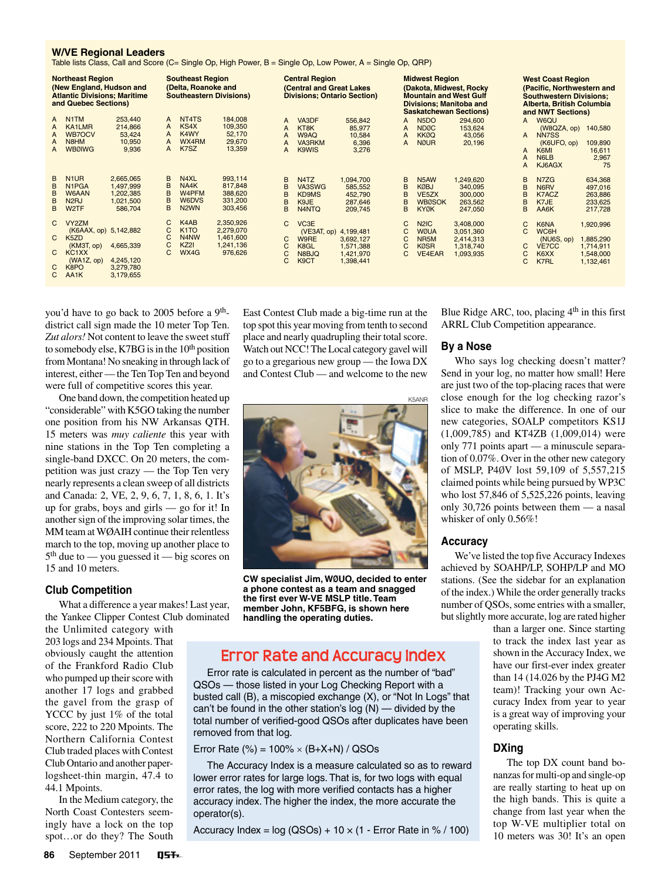#### **W/VE Regional Leaders**

Table lists Class, Call and Score (C= Single Op, High Power, B = Single Op, Low Power, A = Single Op, QRP)

| <b>Northeast Region</b><br>(New England, Hudson and<br><b>Atlantic Divisions; Maritime</b><br>and Quebec Sections) |                                                                                                                      | <b>Southeast Region</b><br>(Delta, Roanoke and<br><b>Southeastern Divisions)</b> |                       |                                                                                                     | <b>Central Region</b><br><b>(Central and Great Lakes)</b><br><b>Divisions; Ontario Section)</b> |                       |                                                                                            | <b>Midwest Region</b><br>(Dakota, Midwest, Rocky<br><b>Mountain and West Gulf</b><br><b>Divisions; Manitoba and</b><br><b>Saskatchewan Sections)</b> |                       |                                                                                       | <b>West Coast Region</b><br>(Pacific, Northwestern and<br><b>Southwestern Divisions:</b><br>Alberta, British Columbia<br>and NWT Sections) |                       |                                                                       |                                                               |
|--------------------------------------------------------------------------------------------------------------------|----------------------------------------------------------------------------------------------------------------------|----------------------------------------------------------------------------------|-----------------------|-----------------------------------------------------------------------------------------------------|-------------------------------------------------------------------------------------------------|-----------------------|--------------------------------------------------------------------------------------------|------------------------------------------------------------------------------------------------------------------------------------------------------|-----------------------|---------------------------------------------------------------------------------------|--------------------------------------------------------------------------------------------------------------------------------------------|-----------------------|-----------------------------------------------------------------------|---------------------------------------------------------------|
| A<br>A<br>A<br>A<br>A                                                                                              | N <sub>1</sub> TM<br>KA1LMR<br><b>WB7OCV</b><br>N <sub>8</sub> H <sub>M</sub><br><b>WBØIWG</b>                       | 253,440<br>214,866<br>53,424<br>10.950<br>9,936                                  | A<br>A<br>A<br>A<br>A | NT <sub>4</sub> T <sub>S</sub><br>KS4X<br>K4WY<br>WX4RM<br>K7SZ                                     | 184,008<br>109,350<br>52,170<br>29,670<br>13,359                                                | A<br>А<br>A<br>A<br>A | VA3DF<br>KT8K<br>W9AQ<br><b>VA3RKM</b><br>K9WIS                                            | 556,842<br>85,977<br>10,584<br>6,396<br>3,276                                                                                                        | A<br>A<br>A<br>A      | N <sub>5</sub> DO<br><b>NDØC</b><br><b>KKØQ</b><br><b>NØUR</b>                        | 294,600<br>153,624<br>43,056<br>20,196                                                                                                     | A<br>A<br>A<br>A<br>А | W6QU<br>(W8QZA, op)<br>NN7SS<br>(K6UFO, op)<br>K6MI<br>N6LB<br>KJ6AGX | 140,580<br>109,890<br>16,611<br>2,967<br>75                   |
| B<br>B<br>в<br>B<br>B                                                                                              | N <sub>1</sub> UR<br>N <sub>1</sub> P <sub>GA</sub><br>W6AAN<br>N <sub>2</sub> RJ<br>W <sub>2</sub> TF               | 2,665,065<br>1,497,999<br>1,202,385<br>1,021,500<br>586,704                      | B<br>B<br>B<br>B<br>B | N <sub>4</sub> XL<br>NA4K<br>W4PFM<br>W6DVS<br>N <sub>2</sub> WN                                    | 993,114<br>817,848<br>388,620<br>331,200<br>303,456                                             | B<br>B<br>B<br>R<br>B | N <sub>4</sub> T <sub>Z</sub><br>VA3SWG<br>KD9MS<br>K9JE<br>N <sub>4</sub> N <sub>TQ</sub> | 1,094,700<br>585,552<br>452,790<br>287,646<br>209,745                                                                                                | B<br>B<br>B<br>B<br>B | N5AW<br><b>KØBJ</b><br>VE <sub>5</sub> ZX<br><b>WBØSOK</b><br><b>KYØK</b>             | 1,249,620<br>340,095<br>300,000<br>263,562<br>247,050                                                                                      | B<br>B<br>B<br>B<br>B | N7ZG<br>N6RV<br>K7ACZ<br>K7JE<br>AA6K                                 | 634,368<br>497,016<br>263,886<br>233,625<br>217,728           |
| C<br>C<br>C                                                                                                        | VY2ZM<br>(K6AAX, op) 5,142,882<br>K5ZD<br>(KM3T, op)<br>KC <sub>1</sub> X <sub>X</sub><br>(WA1Z, op)<br>K8PO<br>AA1K | 4,665,339<br>4,245,120<br>3.279.780<br>3,179,655                                 | C<br>C<br>C<br>C      | K <sub>4</sub> A <sub>B</sub><br>K <sub>1</sub> TO<br>N <sub>4</sub> N <sub>W</sub><br>KZ2I<br>WX4G | 2,350,926<br>2,279,070<br>1,461,600<br>1,241,136<br>976,626                                     | C<br>C<br>C<br>С<br>C | VC <sub>3</sub> E<br>(VE3AT, op)<br>W9RE<br>K8GL<br>N8BJQ<br>K <sub>9</sub> CT             | 4,199,481<br>3,692,127<br>1,571,388<br>1,421,970<br>1,398,441                                                                                        | C<br>C<br>C<br>C<br>C | N <sub>2</sub> IC<br><b>WØUA</b><br>NR <sub>5</sub> M<br><b>KØSR</b><br><b>VE4EAR</b> | 3,408,000<br>3,051,360<br>2,414,313<br>1,318,740<br>1,093,935                                                                              | C<br>C<br>С<br>С<br>С | K6NA<br>WC6H<br>(NU6S, op)<br><b>VE7CC</b><br>K6XX<br>K7RL            | 1,920,996<br>1,885,290<br>1,714,911<br>1,548,000<br>1,132,461 |

you'd have to go back to 2005 before a 9<sup>th</sup>district call sign made the 10 meter Top Ten. Zut alors! Not content to leave the sweet stuff to somebody else, K7BG is in the  $10<sup>th</sup>$  position from Montana! No sneaking in through lack of interest, either — the Ten Top Ten and beyond were full of competitive scores this year.

One band down, the competition heated up "considerable" with K5GO taking the number one position from his NW Arkansas QTH. 15 meters was *muy caliente* this year with nine stations in the Top Ten completing a single-band DXCC. On 20 meters, the competition was just crazy — the Top Ten very nearly represents a clean sweep of all districts and Canada: 2, VE, 2, 9, 6, 7, 1, 8, 6, 1. It's up for grabs, boys and girls — go for it! In another sign of the improving solar times, the  $MM$  team at WØAIH continue their relentless march to the top, moving up another place to 5th due to — you guessed it — big scores on 15 and 10 meters.

#### **Club Competition**

What a difference a year makes! Last year, the Yankee Clipper Contest Club dominated

the Unlimited category with 203 logs and 234 Mpoints. That obviously caught the attention of the Frankford Radio Club who pumped up their score with another 17 logs and grabbed the gavel from the grasp of YCCC by just 1% of the total score, 222 to 220 Mpoints. The Northern California Contest Club traded places with Contest Club Ontario and another paperlogsheet-thin margin, 47.4 to 44.1 Mpoints.

In the Medium category, the North Coast Contesters seemingly have a lock on the top spot…or do they? The South

East Contest Club made a big-time run at the top spot this year moving from tenth to second place and nearly quadrupling their total score. Watch out NCC! The Local category gavel will go to a gregarious new group — the Iowa DX and Contest Club — and welcome to the new

Blue Ridge ARC, too, placing 4<sup>th</sup> in this first ARRL Club Competition appearance.

### **By a Nose**

Who says log checking doesn't matter? Send in your log, no matter how small! Here are just two of the top-placing races that were close enough for the log checking razor's slice to make the difference. In one of our new categories, SOALP competitors KS1J (1,009,785) and KT4ZB (1,009,014) were only 771 points apart — a minuscule separation of 0.07%. Over in the other new category of MSLP, P4ØV lost 59,109 of 5,557,215 claimed points while being pursued by WP3C who lost 57,846 of 5,525,226 points, leaving only 30,726 points between them — a nasal whisker of only 0.56%!

#### **Accuracy**

We've listed the top five Accuracy Indexes achieved by SOAHP/LP, SOHP/LP and MO stations. (See the sidebar for an explanation of the index.) While the order generally tracks number of QSOs, some entries with a smaller, but slightly more accurate, log are rated higher

> than a larger one. Since starting to track the index last year as shown in the Accuracy Index, we have our first-ever index greater than 14 (14.026 by the PJ4G M2 team)! Tracking your own Accuracy Index from year to year is a great way of improving your operating skills.

### **DXing**

The top DX count band bonanzas for multi-op and single-op are really starting to heat up on the high bands. This is quite a change from last year when the top W-VE multiplier total on 10 meters was 30! It's an open



**CW specialist Jim, WØUO, decided to enter a phone contest as a team and snagged the first ever W-VE MSLP title.Team member John, KF5BFG, is shown here handling the operating duties.**

# **Error Rate and Accuracy Index**

Error rate is calculated in percent as the number of "bad" QSOs — those listed in your Log Checking Report with a busted call (B), a miscopied exchange (X), or "Not In Logs" that can't be found in the other station's log (N) — divided by the total number of verified-good QSOs after duplicates have been removed from that log.

Error Rate (%) =  $100\% \times (B+X+N) / QSOs$ 

The Accuracy Index is a measure calculated so as to reward lower error rates for large logs. That is, for two logs with equal error rates, the log with more verified contacts has a higher accuracy index. The higher the index, the more accurate the operator(s).

Accuracy Index =  $log (QSOs) + 10 \times (1 - Error Rate in % / 100)$